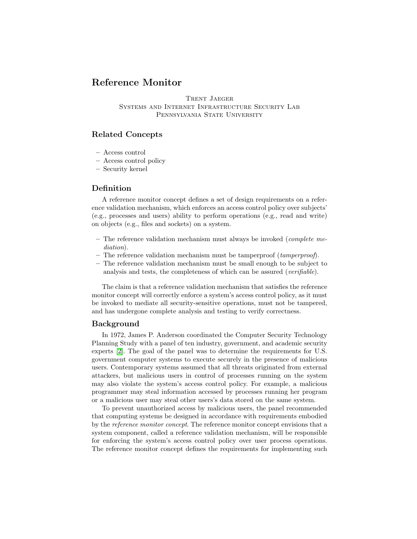# Reference Monitor

Trent Jaeger SYSTEMS AND INTERNET INFRASTRUCTURE SECURITY LAB PENNSYLVANIA STATE UNIVERSITY

# Related Concepts

- Access control
- Access control policy
- Security kernel

### Definition

A reference monitor concept defines a set of design requirements on a reference validation mechanism, which enforces an access control policy over subjects' (e.g., processes and users) ability to perform operations (e.g., read and write) on objects (e.g., files and sockets) on a system.

- $-$  The reference validation mechanism must always be invoked (*complete me*diation).
- The reference validation mechanism must be tamperproof  $(tamperproof)$ .
- The reference validation mechanism must be small enough to be subject to analysis and tests, the completeness of which can be assured (*verifiable*).

The claim is that a reference validation mechanism that satisfies the reference monitor concept will correctly enforce a system's access control policy, as it must be invoked to mediate all security-sensitive operations, must not be tampered, and has undergone complete analysis and testing to verify correctness.

#### Background

In 1972, James P. Anderson coordinated the Computer Security Technology Planning Study with a panel of ten industry, government, and academic security experts [\[2\]](#page-3-0). The goal of the panel was to determine the requirements for U.S. government computer systems to execute securely in the presence of malicious users. Contemporary systems assumed that all threats originated from external attackers, but malicious users in control of processes running on the system may also violate the system's access control policy. For example, a malicious programmer may steal information accessed by processes running her program or a malicious user may steal other users's data stored on the same system.

To prevent unauthorized access by malicious users, the panel recommended that computing systems be designed in accordance with requirements embodied by the reference monitor concept. The reference monitor concept envisions that a system component, called a reference validation mechanism, will be responsible for enforcing the system's access control policy over user process operations. The reference monitor concept defines the requirements for implementing such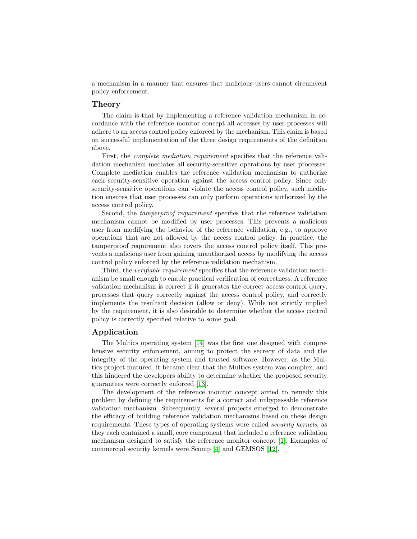a mechanism in a manner that ensures that malicious users cannot circumvent policy enforcement.

# Theory

The claim is that by implementing a reference validation mechanism in accordance with the reference monitor concept all accesses by user processes will adhere to an access control policy enforced by the mechanism. This claim is based on successful implementation of the three design requirements of the definition above.

First, the *complete mediation requirement* specifies that the reference validation mechanism mediates all security-sensitive operations by user processes. Complete mediation enables the reference validation mechanism to authorize each security-sensitive operation against the access control policy. Since only security-sensitive operations can violate the access control policy, such mediation ensures that user processes can only perform operations authorized by the access control policy.

Second, the tamperproof requirement specifies that the reference validation mechanism cannot be modified by user processes. This prevents a malicious user from modifying the behavior of the reference validation, e.g., to approve operations that are not allowed by the access control policy. In practice, the tamperproof requirement also covers the access control policy itself. This prevents a malicious user from gaining unauthorized access by modifying the access control policy enforced by the reference validation mechanism.

Third, the verifiable requirement specifies that the reference validation mechanism be small enough to enable practical verification of correctness. A reference validation mechanism is correct if it generates the correct access control query, processes that query correctly against the access control policy, and correctly implements the resultant decision (allow or deny). While not strictly implied by the requirement, it is also desirable to determine whether the access control policy is correctly specified relative to some goal.

#### Application

The Multics operating system [\[14\]](#page-3-1) was the first one designed with comprehensive security enforcement, aiming to protect the secrecy of data and the integrity of the operating system and trusted software. However, as the Multics project matured, it became clear that the Multics system was complex, and this hindered the developers ability to determine whether the proposed security guarantees were correctly enforced [\[13\]](#page-3-2).

The development of the reference monitor concept aimed to remedy this problem by defining the requirements for a correct and unbypassable reference validation mechanism. Subsequently, several projects emerged to demonstrate the efficacy of building reference validation mechanisms based on these design requirements. These types of operating systems were called security kernels, as they each contained a small, core component that included a reference validation mechanism designed to satisfy the reference monitor concept [\[1\]](#page-3-3). Examples of commercial security kernels were Scomp [\[4\]](#page-3-4) and GEMSOS [\[12\]](#page-3-5).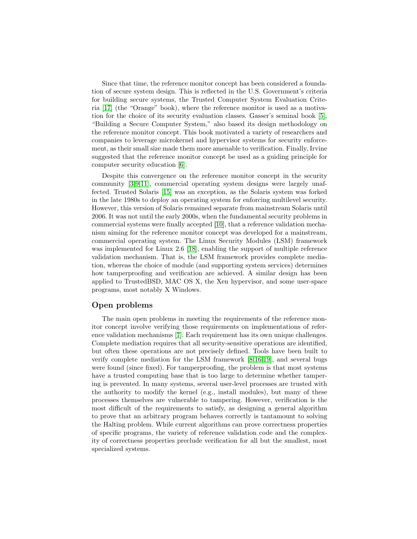Since that time, the reference monitor concept has been considered a foundation of secure system design. This is reflected in the U.S. Government's criteria for building secure systems, the Trusted Computer System Evaluation Criteria [\[17\]](#page-4-0) (the "Orange" book), where the reference monitor is used as a motivation for the choice of its security evaluation classes. Gasser's seminal book [\[5\]](#page-3-6), "Building a Secure Computer System," also based its design methodology on the reference monitor concept. This book motivated a variety of researchers and companies to leverage microkernel and hypervisor systems for security enforcement, as their small size made them more amenable to verification. Finally, Irvine suggested that the reference monitor concept be used as a guiding principle for computer security education [\[6\]](#page-3-7).

Despite this convergence on the reference monitor concept in the security community [\[3,](#page-3-8)[9,](#page-3-9)[11\]](#page-3-10), commercial operating system designs were largely unaffected. Trusted Solaris [\[15\]](#page-3-11) was an exception, as the Solaris system was forked in the late 1980s to deploy an operating system for enforcing multilevel security. However, this version of Solaris remained separate from mainstream Solaris until 2006. It was not until the early 2000s, when the fundamental security problems in commercial systems were finally accepted [\[10\]](#page-3-12), that a reference validation mechanism aiming for the reference monitor concept was developed for a mainstream, commercial operating system. The Linux Security Modules (LSM) framework was implemented for Linux 2.6 [\[18\]](#page-4-1), enabling the support of multiple reference validation mechanism. That is, the LSM framework provides complete mediation, whereas the choice of module (and supporting system services) determines how tamperproofing and verification are achieved. A similar design has been applied to TrustedBSD, MAC OS X, the Xen hypervisor, and some user-space programs, most notably X Windows.

### Open problems

The main open problems in meeting the requirements of the reference monitor concept involve verifying those requirements on implementations of reference validation mechanisms [\[7\]](#page-3-13). Each requirement has its own unique challenges. Complete mediation requires that all security-sensitive operations are identified, but often these operations are not precisely defined. Tools have been built to verify complete mediation for the LSM framework [\[8,](#page-3-14)[16,](#page-4-2)[19\]](#page-4-3), and several bugs were found (since fixed). For tamperproofing, the problem is that most systems have a trusted computing base that is too large to determine whether tampering is prevented. In many systems, several user-level processes are trusted with the authority to modify the kernel (e.g., install modules), but many of these processes themselves are vulnerable to tampering. However, verification is the most difficult of the requirements to satisfy, as designing a general algorithm to prove that an arbitrary program behaves correctly is tantamount to solving the Halting problem. While current algorithms can prove correctness properties of specific programs, the variety of reference validation code and the complexity of correctness properties preclude verification for all but the smallest, most specialized systems.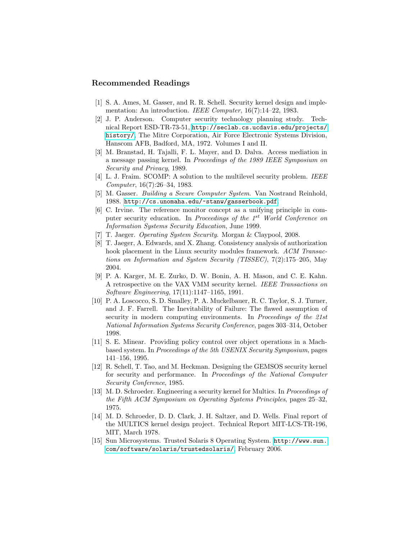### Recommended Readings

- <span id="page-3-3"></span>[1] S. A. Ames, M. Gasser, and R. R. Schell. Security kernel design and implementation: An introduction. IEEE Computer, 16(7):14–22, 1983.
- <span id="page-3-0"></span>[2] J. P. Anderson. Computer security technology planning study. Technical Report ESD-TR-73-51, [http://seclab.cs.ucdavis.edu/projects/](http://seclab.cs.ucdavis.edu/projects/history/) [history/](http://seclab.cs.ucdavis.edu/projects/history/), The Mitre Corporation, Air Force Electronic Systems Division, Hanscom AFB, Badford, MA, 1972. Volumes I and II.
- <span id="page-3-8"></span>[3] M. Branstad, H. Tajalli, F. L. Mayer, and D. Dalva. Access mediation in a message passing kernel. In Proceedings of the 1989 IEEE Symposium on Security and Privacy, 1989.
- <span id="page-3-4"></span>[4] L. J. Fraim. SCOMP: A solution to the multilevel security problem. IEEE Computer, 16(7):26–34, 1983.
- <span id="page-3-6"></span>[5] M. Gasser. Building a Secure Computer System. Van Nostrand Reinhold, 1988. <http://cs.unomaha.edu/~stanw/gasserbook.pdf>.
- <span id="page-3-7"></span>[6] C. Irvine. The reference monitor concept as a unifying principle in computer security education. In Proceedings of the 1<sup>st</sup> World Conference on Information Systems Security Education, June 1999.
- <span id="page-3-13"></span>[7] T. Jaeger. Operating System Security. Morgan & Claypool, 2008.
- <span id="page-3-14"></span>[8] T. Jaeger, A. Edwards, and X. Zhang. Consistency analysis of authorization hook placement in the Linux security modules framework. ACM Transactions on Information and System Security (TISSEC), 7(2):175–205, May 2004.
- <span id="page-3-9"></span>[9] P. A. Karger, M. E. Zurko, D. W. Bonin, A. H. Mason, and C. E. Kahn. A retrospective on the VAX VMM security kernel. IEEE Transactions on Software Engineering, 17(11):1147–1165, 1991.
- <span id="page-3-12"></span>[10] P. A. Loscocco, S. D. Smalley, P. A. Muckelbauer, R. C. Taylor, S. J. Turner, and J. F. Farrell. The Inevitability of Failure: The flawed assumption of security in modern computing environments. In Proceedings of the 21st National Information Systems Security Conference, pages 303–314, October 1998.
- <span id="page-3-10"></span>[11] S. E. Minear. Providing policy control over object operations in a Machbased system. In Proceedings of the 5th USENIX Security Symposium, pages 141–156, 1995.
- <span id="page-3-5"></span>[12] R. Schell, T. Tao, and M. Heckman. Designing the GEMSOS security kernel for security and performance. In Proceedings of the National Computer Security Conference, 1985.
- <span id="page-3-2"></span>[13] M. D. Schroeder. Engineering a security kernel for Multics. In Proceedings of the Fifth ACM Symposium on Operating Systems Principles, pages 25–32, 1975.
- <span id="page-3-1"></span>[14] M. D. Schroeder, D. D. Clark, J. H. Saltzer, and D. Wells. Final report of the MULTICS kernel design project. Technical Report MIT-LCS-TR-196, MIT, March 1978.
- <span id="page-3-11"></span>[15] Sun Microsystems. Trusted Solaris 8 Operating System. [http://www.sun.](http://www.sun.com/software/solaris/trustedsolaris/) [com/software/solaris/trustedsolaris/](http://www.sun.com/software/solaris/trustedsolaris/), February 2006.